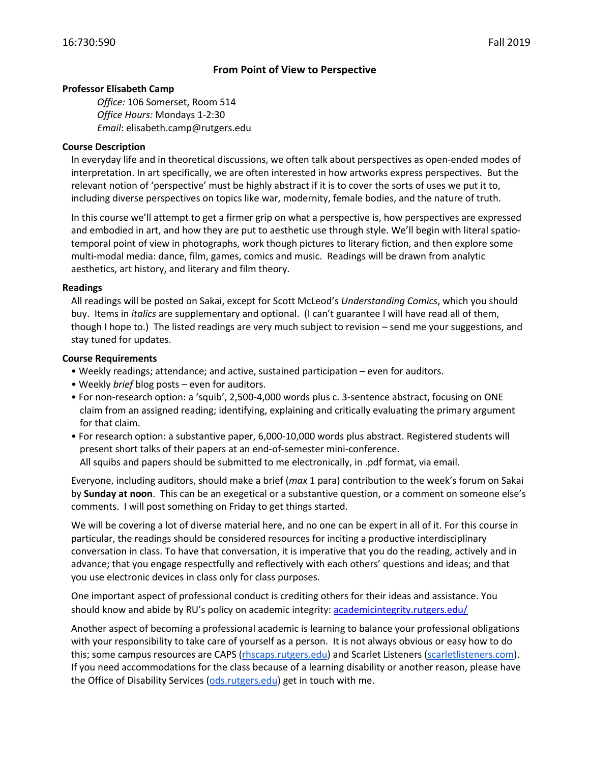# **From Point of View to Perspective**

### **Professor Elisabeth Camp**

*Office:* 106 Somerset, Room 514 *Office Hours:* Mondays 1-2:30 *Email*: elisabeth.camp@rutgers.edu

### **Course Description**

In everyday life and in theoretical discussions, we often talk about perspectives as open-ended modes of interpretation. In art specifically, we are often interested in how artworks express perspectives. But the relevant notion of 'perspective' must be highly abstract if it is to cover the sorts of uses we put it to, including diverse perspectives on topics like war, modernity, female bodies, and the nature of truth.

In this course we'll attempt to get a firmer grip on what a perspective is, how perspectives are expressed and embodied in art, and how they are put to aesthetic use through style. We'll begin with literal spatiotemporal point of view in photographs, work though pictures to literary fiction, and then explore some multi-modal media: dance, film, games, comics and music. Readings will be drawn from analytic aesthetics, art history, and literary and film theory.

### **Readings**

All readings will be posted on Sakai, except for Scott McLeod's *Understanding Comics*, which you should buy. Items in *italics* are supplementary and optional. (I can't guarantee I will have read all of them, though I hope to.) The listed readings are very much subject to revision – send me your suggestions, and stay tuned for updates.

### **Course Requirements**

- Weekly readings; attendance; and active, sustained participation even for auditors.
- Weekly *brief* blog posts even for auditors.
- For non-research option: a 'squib', 2,500-4,000 words plus c. 3-sentence abstract, focusing on ONE claim from an assigned reading; identifying, explaining and critically evaluating the primary argument for that claim.
- For research option: a substantive paper, 6,000-10,000 words plus abstract. Registered students will present short talks of their papers at an end-of-semester mini-conference. All squibs and papers should be submitted to me electronically, in .pdf format, via email.

Everyone, including auditors, should make a brief (*max* 1 para) contribution to the week's forum on Sakai by **Sunday at noon**. This can be an exegetical or a substantive question, or a comment on someone else's comments. I will post something on Friday to get things started.

We will be covering a lot of diverse material here, and no one can be expert in all of it. For this course in particular, the readings should be considered resources for inciting a productive interdisciplinary conversation in class. To have that conversation, it is imperative that you do the reading, actively and in advance; that you engage respectfully and reflectively with each others' questions and ideas; and that you use electronic devices in class only for class purposes.

One important aspect of professional conduct is crediting others for their ideas and assistance. You should know and abide by RU's policy on academic integrity: academicintegrity.rutgers.edu/

Another aspect of becoming a professional academic is learning to balance your professional obligations with your responsibility to take care of yourself as a person. It is not always obvious or easy how to do this; some campus resources are CAPS (rhscaps.rutgers.edu) and Scarlet Listeners (scarletlisteners.com). If you need accommodations for the class because of a learning disability or another reason, please have the Office of Disability Services (ods.rutgers.edu) get in touch with me.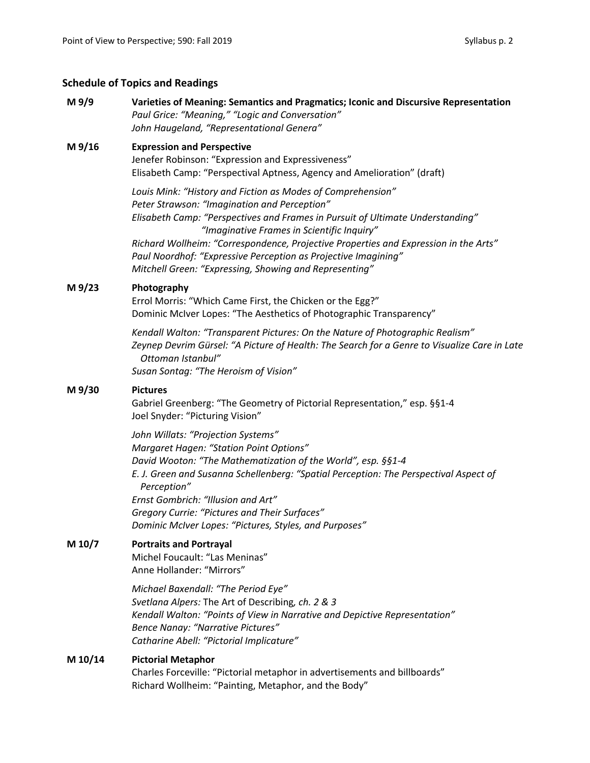# **Schedule of Topics and Readings**

## **M 9/9 Varieties of Meaning: Semantics and Pragmatics; Iconic and Discursive Representation** *Paul Grice: "Meaning," "Logic and Conversation" John Haugeland, "Representational Genera"*

### **M 9/16 Expression and Perspective**

Jenefer Robinson: "Expression and Expressiveness" Elisabeth Camp: "Perspectival Aptness, Agency and Amelioration" (draft)

*Louis Mink: "History and Fiction as Modes of Comprehension" Peter Strawson: "Imagination and Perception" Elisabeth Camp: "Perspectives and Frames in Pursuit of Ultimate Understanding" "Imaginative Frames in Scientific Inquiry" Richard Wollheim: "Correspondence, Projective Properties and Expression in the Arts"*

*Paul Noordhof: "Expressive Perception as Projective Imagining" Mitchell Green: "Expressing, Showing and Representing"*

### **M 9/23 Photography**

Errol Morris: "Which Came First, the Chicken or the Egg?" Dominic McIver Lopes: "The Aesthetics of Photographic Transparency"

*Kendall Walton: "Transparent Pictures: On the Nature of Photographic Realism" Zeynep Devrim Gürsel: "A Picture of Health: The Search for a Genre to Visualize Care in Late Ottoman Istanbul" Susan Sontag: "The Heroism of Vision"*

#### **M 9/30 Pictures**

Gabriel Greenberg: "The Geometry of Pictorial Representation," esp. §§1-4 Joel Snyder: "Picturing Vision"

*John Willats: "Projection Systems" Margaret Hagen: "Station Point Options" David Wooton: "The Mathematization of the World", esp. §§1-4 E. J. Green and Susanna Schellenberg: "Spatial Perception: The Perspectival Aspect of Perception" Ernst Gombrich: "Illusion and Art" Gregory Currie: "Pictures and Their Surfaces" Dominic McIver Lopes: "Pictures, Styles, and Purposes"* 

## **M 10/7 Portraits and Portrayal**

Michel Foucault: "Las Meninas" Anne Hollander: "Mirrors"

*Michael Baxendall: "The Period Eye" Svetlana Alpers:* The Art of Describing*, ch. 2 & 3 Kendall Walton: "Points of View in Narrative and Depictive Representation" Bence Nanay: "Narrative Pictures" Catharine Abell: "Pictorial Implicature"*

## **M 10/14 Pictorial Metaphor**

Charles Forceville: "Pictorial metaphor in advertisements and billboards" Richard Wollheim: "Painting, Metaphor, and the Body"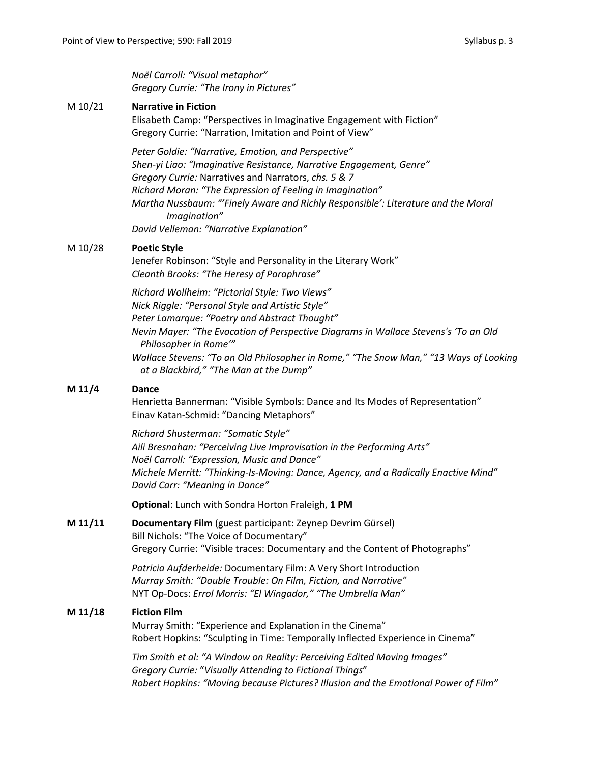*Noël Carroll: "Visual metaphor" Gregory Currie: "The Irony in Pictures"* 

### M 10/21 **Narrative in Fiction**

Elisabeth Camp: "Perspectives in Imaginative Engagement with Fiction" Gregory Currie: "Narration, Imitation and Point of View"

*Peter Goldie: "Narrative, Emotion, and Perspective" Shen-yi Liao: "Imaginative Resistance, Narrative Engagement, Genre" Gregory Currie:* Narratives and Narrators, *chs. 5 & 7 Richard Moran: "The Expression of Feeling in Imagination" Martha Nussbaum: "'Finely Aware and Richly Responsible': Literature and the Moral Imagination" David Velleman: "Narrative Explanation"*

# M 10/28 **Poetic Style**

Jenefer Robinson: "Style and Personality in the Literary Work" *Cleanth Brooks: "The Heresy of Paraphrase"* 

*Richard Wollheim: "Pictorial Style: Two Views" Nick Riggle: "Personal Style and Artistic Style" Peter Lamarque: "Poetry and Abstract Thought" Nevin Mayer: "The Evocation of Perspective Diagrams in Wallace Stevens's 'To an Old Philosopher in Rome'" Wallace Stevens: "To an Old Philosopher in Rome," "The Snow Man," "13 Ways of Looking at a Blackbird," "The Man at the Dump"*

## **M 11/4 Dance**

Henrietta Bannerman: "Visible Symbols: Dance and Its Modes of Representation" Einav Katan-Schmid: "Dancing Metaphors"

*Richard Shusterman: "Somatic Style" Aili Bresnahan: "Perceiving Live Improvisation in the Performing Arts" Noël Carroll: "Expression, Music and Dance" Michele Merritt: "Thinking-Is-Moving: Dance, Agency, and a Radically Enactive Mind" David Carr: "Meaning in Dance"* 

**Optional**: Lunch with Sondra Horton Fraleigh, **1 PM**

## **M 11/11 Documentary Film** (guest participant: Zeynep Devrim Gürsel) Bill Nichols: "The Voice of Documentary" Gregory Currie: "Visible traces: Documentary and the Content of Photographs"

*Patricia Aufderheide:* Documentary Film: A Very Short Introduction *Murray Smith: "Double Trouble: On Film, Fiction, and Narrative"* NYT Op-Docs: *Errol Morris: "El Wingador," "The Umbrella Man"*

## **M 11/18 Fiction Film**

Murray Smith: "Experience and Explanation in the Cinema" Robert Hopkins: "Sculpting in Time: Temporally Inflected Experience in Cinema"

*Tim Smith et al: "A Window on Reality: Perceiving Edited Moving Images" Gregory Currie:* "*Visually Attending to Fictional Things*" *Robert Hopkins: "Moving because Pictures? Illusion and the Emotional Power of Film"*